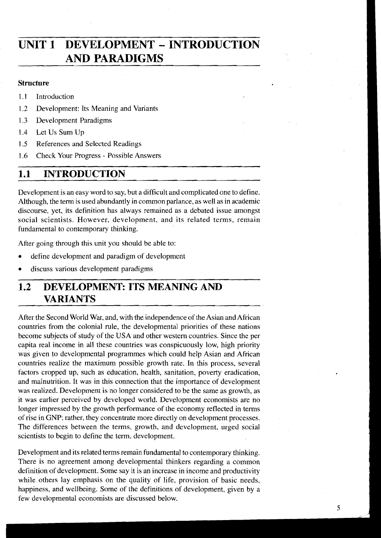# **UNIT 1 DEVELOPMENT** - **INTRODUCTION AND PARADIGMS**

#### **Structure**

- **1.1** Introduction
- 1.2 Development: Its Meaning and Variants
- 1.3 Development Paradigms
- 1.4 Let Us Sum Up
- 1.5 References and Selected Readings
- 1.6 Check Your Progress Possible Answers

## 1.1 **INTRODUCTION**

Development is an easy word to say, but a difficult and complicated one to define. Although, the term is used abundantly in common parlance, as well as in academic discourse, yet, its definition has always remained as a debated issue amongst social scientists. However, development, and its related terms, remain fundamental to contemporary thinking.

After going through this unit you should be able to:

- define development and paradigm of development
- discuss various development paradigms

## **1.2 DEVELOPMENT: ITS MEANING AND VARIANTS**

After the Second World War, and, with the independence of the Asian and African countries from the colonial rule, the developmental priorities of these nations become subjects of study of the USA and other western countries. Since the per capita real income in all these countries was conspicuously low, high priority was given to developmental programmes which could help Asian and African countries realize the maximum possible growth rate. In this process, several factors cropped up, such as education, health, sanitation, poverty eradication, and malnutrition. It was in this connection that the importance of development was realized. Development is no longer considered to be the same as growth, as it was earlier perceived by developed world. Development economists are no longer impressed by the growth performance of the economy reflected in terms of rise in GNP; rather, they concentrate more directly on development processes. The differences between the terms, growth, and development, urged social scientists to begin to define the term, development.

Development and its related terms remain fundamental to contemporary thinking. There is no agreement among developmental thinkers regarding a common definition of development. Some say it is an increase in income and productivity while others lay emphasis on the quality of life, provision of basic needs, happiness, and wellbeing. Some of the definitions of development, given by a few developmental economists are discussed below.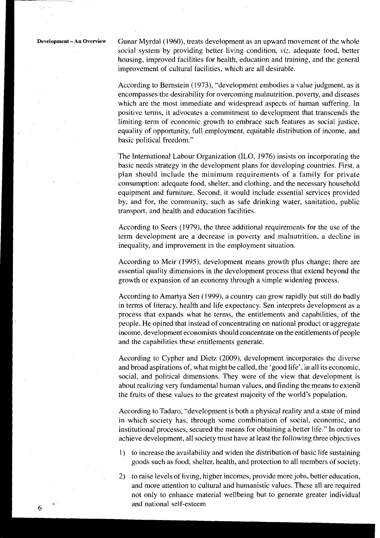**Development- An Overview** Gunar Myrdal (1960), treats development as an upward movement of the whole social system by providing better living condition, *viz.* adequate food, better housing, improved facilities for health, education and training, and the general improvement of cultural facilities, which are all desirable.

> According to Bernstein (1973), "development embodies a value judgment, as it encompasses the desirability for overcoming malnutrition, poverty, and diseases which are the most immediate and widespread aspects of human suffering. In positive terms, it advocates a commitment to development that transcends the limiting term of economic growth to embrace such features as social justice, equality of opportunity, full employment, equitable distribution of income, and basic political freedom."

> The International Labour Organization (ILO, 1976) insists on incorporating the basic needs strategy in the development plans for developing countries. First, a plan should include the minimum requirements of a family for private consumption: adequate food, shelter, and clothing, and the necessary household equipment and furniture. Second, it would include essential services provided by, and for, the community, such as safe drinking water, sanitation, public transport, and health and education facilities.

> According to Seers (1979), the three additional requirements for the use of the term development are a decrease in poverty and malnutrition, a decline in inequality, and improvement in the employment situation.

> According to Meir (1995), development means growth plus change; there are essential quality dimensions in the development process that extend beyond the growth or expansion of an economy through a simple widening process.

> According to Amartya Sen (1999), a country can grow rapidly but still do badly in terms of literacy, health and life expectancy. Sen interprets development as a process that expands what he terms, the entitlements and capabilities, of the people. He opined that instead of concentrating on national product or aggregate income, development economists should concentrate on the entitlements of people and the capabilities these entitlements generate.

> According to Cypher and Dietz (2009), development incorporates the diverse and broad aspirations of, what might be called, the 'good life', in all its economic, social, and political dimensions. They were of the view that development is about realizing very fundamental human values, and finding the means to extend the fruits of these values to the greatest majority of the world's population.

> According to Tadaro, "development is both a physical reality and a state of mind jn which society has, through some combination of social, economic, and institutional processes, secured the means for obtaining a better life." In order to achieve development, all society must have at least the following three objectives

- I) to increase the availability and widen the distribution of basic life sustaining goods such as food, shelter, health, and protection to all members of society.
- 2) to raise levels of living, higher incomes, provide more jobs, better education, and more attention to cultural and humanistic values. These all are required not only to enhance material wellbeing but to generate greater individual **6 and national self-esteem**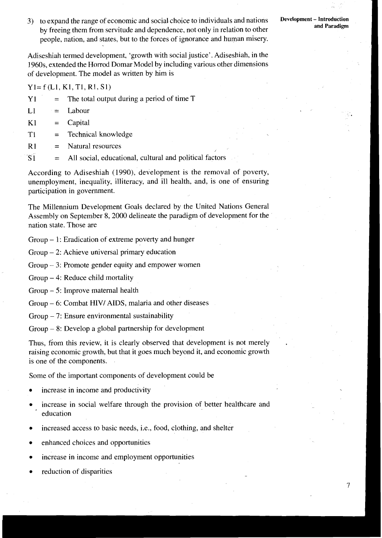3) to expand the range of economic and social choice to individuals and nations by freeing them from servitude and dependence, not only in relation to other people, nation, and states, but to the forces of ignorance and human misery.

Adiseshiah termed development, 'growth with social justice'. Adiseshiah, in the 1960s, extended the Horrod Domar Model by including various other dimensions of development. The model as written by him is

Y1= f (Ll, K1, TI, **R1,** Sl)

| Y1 |  |  |  |  |  | The total output during a period of time T |
|----|--|--|--|--|--|--------------------------------------------|
|----|--|--|--|--|--|--------------------------------------------|

- $L1 =$  Labour
- $K1 = Capital$
- T1 = Technical knowledge
- $R1 =$  Natural resources
- $\overline{S1}$  = All social, educational, cultural and political factors

According to Adiseshiah (1990), development is the removal of poverty, unemployment, inequality, illiteracy, and ill health, and, is one of ensuring participation in government.

The Millennium Development Goals declared by the United Nations General Assembly on September 8,2000 delineate the paradigm of development for the nation state. Those are

Group - 1: Eradication of extreme poverty and hunger

Group - 2: Achieve universal primary education

Group  $-3$ : Promote gender equity and empower women

Group - 4: Reduce child mortality

Group - 5: Improve maternal health

Group - 6: Combat HIV/ AIDS, malaria and other diseases

 $Group - 7: Ensure environmental sustainability$ 

 $Group-8: Develop a global partnership for development$ 

Thus, from this review, it is clearly observed that development is not merely raising economic growth, but that it goes much beyond it, and economic growth is one of the components.

Some of the important components of development could be

- increase in income and productivity
- increase in social welfare through the provision of better healthcare and education
- increased access to basic needs, i.e., food, clothing, and shelter
- enhanced choices and opportunities
- increase in income and employment opportunities
- reduction of disparities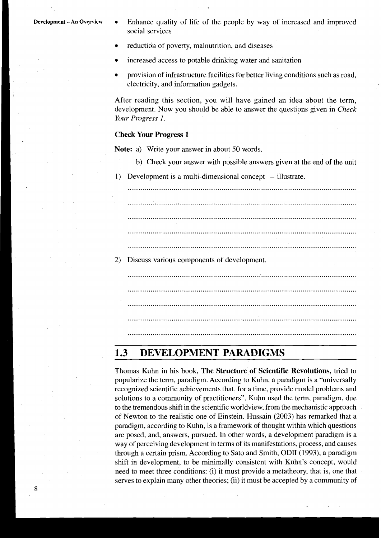- **Development -An Overview •** Enhance quality of life of the people by way of increased and improved social services
	- reduction of poverty, malnutrition, and diseases
	- increased access to potable drinking water and sanitation
	- provision of infrastructure facilities for better living conditions such as road, electricity, and information gadgets.

After reading this section, you will have gained an idea about the term, development. Now you should be able to answer the questions given in *Check Your Progress 1.* 

#### **Check Your Progress 1**

**Note:** a) Write your answer in about 50 words.

- b) Check your answer with possible answers given at the end of the unit
- 1) Development is a multi-dimensional concept illustrate.

....................................................................................................................... ....................................................................................................................... ....................................................................................................................... .......................................................................................................................

2) Discuss various components of development.

## **1.3 DEVELOPMENT PARADIGMS**

Thomas Kuhn in his book, **The Structure of Scientific Revolutions,** tried to popularize the term, paradigm. According to Kuhn, a paradigm is a "universally recognized scientific achievements that, for a time, provide model problems and solutions to a community of practitioners". Kuhn used the term, paradigm, due to the tremendous shift in the scientific worldview, from the mechanistic approach of Newton to the realistic one of Einstein. Hussain (2003) has remarked that a paradigm, according to Kuhn, is a framework of thought within which questions are posed, and, answers, pursued. In other words, a development paradigm is a way of perceiving development in terms of its manifestations, process, and causes through a certain prism. According to Sato and Smith, ODII (1993), a paradigm shift in development, to be minimally consistent with Kuhn's concept, would need to meet three conditions: (i) it must provide a metatheory, that is, one that serves to explain many other theories; (ii) it must be accepted by a community of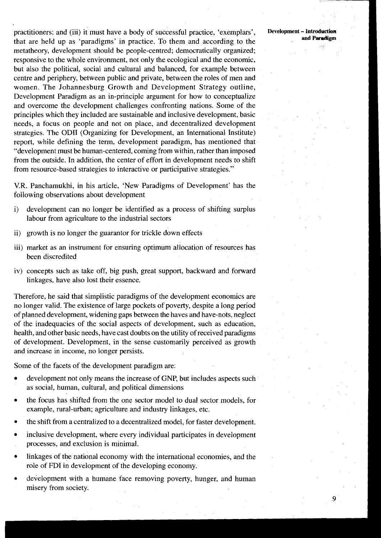practitioners; and (iii) it must have a body of successful practice, 'exemplars', **Development** - **Introduction**  that are held up as 'paradigms' in practice. To them and according to the metatheory, development should be people-centred; democratically organized; responsive to the whole environment, not only the ecological and the economic, but also the political, social and cultural and balanced, for example between centre and periphery, between public and private, between the roles of men and women. The Johannesburg Growth and Development Strategy outline, Development Paradigm as an in-principle argument for how to conceptualize and overcome the development challenges confronting nations. Some of the principles which they included are sustainable and inclusive development, basic needs, a focus on people and not on place, and decentralized development strategies. The OD11 (Organizing for Development, an International Institute) report, while defining the term, development paradigm, has mentioned that "development must be human-centered, coming from within, rather than imposed from the outside. In addition, the center of effort in development needs to shift from resource-based strategies to interactive or participative strategies."

V.R. Panchamukhi, in his article, 'New Paradigms of Development' has the following observations about development

- i) development can no longer be identified as a process of shifting surplus labour from agriculture to the industrial sectors
- ii) growth is no longer the guarantor for trickle down effects
- iii) market as an instrument for ensuring optimum allocation of resources has been discredited
- iv) concepts such as take off, big push, great support, backward and forward linkages, have also lost their essence.

Therefore, he said that simplistic paradigms of the development economics are no longer valid. The existence of large pockets of poverty, despite a long period of planned development, widening gaps between the haves and have-nots, neglect of the inadequacies of the social aspects of development, such as education, health, and other basic needs, have cast doubts on the utility of received paradigms of development. Development, in the sense customarily perceived as growth and increase in income, no longer persists.

Some of the facets of the development paradigm are:

- development not only means the increase of GNP, but includes aspects such as social, human, cultural, and political dimensions
- the focus has shifted from the one sector model to dual sector models, for example, rural-urban; agriculture and industry linkages, etc.
- the shift from a centralized to a decentralized model, for faster development.
- inclusive development, where every individual participates in development processes, and exclusion is minimal.
- linkages of the national economy with the international economies, and the role of FDI in development of the developing economy.
- development with a humane face removing poverty, hunger, and human misery from society.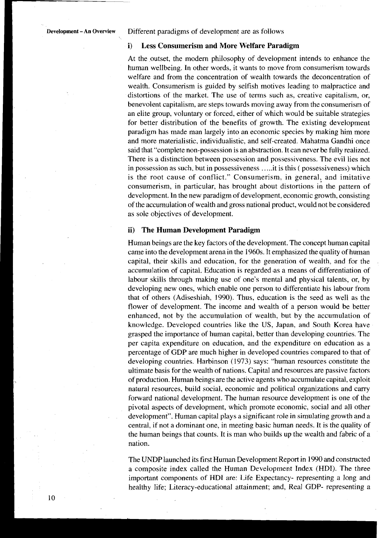**Development** - **An Overview** Different paradigms of development are as follows

#### **i) Less Consumerism and More Welfare Paradigm**

At the outset, the modem philosophy of development intends to enhance the human wellbeing. In other words, it wants to move from consumerism towards welfare and from the concentration of wealth towards the deconcentration of wealth. Consumerism is guided by selfish motives leading to malpractice and distortions of the market. The use of terms such as, creative capitalism, or, benevolent capitalism, are steps towards moving away from the consumerism of an elite group, voluntary or forced, either of which would be suitable strategies for better distribution of the benefits of growth. The existing development paradigm has made man largely into an economic species by making him more and more materialistic, individualistic, and self-created. Mahatma Gandhi once said that "complete non-possession is an abstraction. It can never be fully realized. There is a distinction between possession and possessiveness. The evil lies not in possession as such, but in possessiveness . . ... it is this ( possessiveness) which is the root cause of conflict." Consumerism, in general, and imitative consumerism, in particular, has brought about distortions ih the pattern of development. In the new paradigm of development, economic growth, consisting of the accumulation of wealth and gross national product, would not be considered as sole objectives of development.

#### **ii) The Human Development Paradigm**

Human beings are the key factors of the development. The concept human capital came into the development arena in the 1960s. It emphasized the quality of human capital, their skills and education, for the generation of wealth, and for the accumulation of capital. Education is regarded .as a means of differentiation of labour skills through making use of one's mental and physical talents, or, by developing new ones, which enable one person to differentiate his labour from that of others (Adiseshiah, 1990). Thus, education is the seed as well as the flower of development. The income and wealth of a person would be better enhanced, not by the accumulation of wealth, but by the accumulation of knowledge. Developed countries like the US, Japan, and South Korea have grasped the importance of human capital, better than developing countries. The per capita expenditure on education, and the expenditure on education as a percentage of GDP are much higher in developed countries compared to that of developing countries. Harbinson (1973) says: "human resources constitute the ultimate basis for the wealth of nations. Capital and resources are passive factors of production. Human beings are the active agents who accumulate capital, exploit natural resources, build social, economic and political organizations and cany forward national development. The human resource development is one of the pivotal aspects of development, which promote economic, social and all other development". Human capital plays a significant role in simulating growth and a central, if not a dominant one, in meeting basic human needs. It is the quality of the human beings that counts. It is man who builds up the wealth and fabric of a nation.

The UNDP launched its first Human Development Report in 1990 and constructed a composite index called the Human Development Index (HDI). The three important components of HDI are: Life Expectancy- representing a long and healthy life; Literacy-educational attainment; and, Real GDP- representing a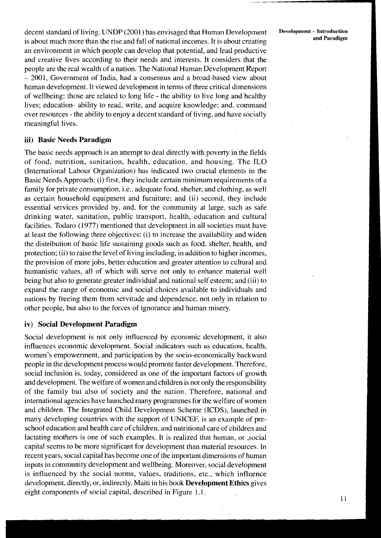decent standard of living. UNDP (2001) has envisaged that Human Development **Development - Introduction and Paradigm** is about much more than the rise and fall of national incomes. It is about creating an environment in which people can develop that potential, and lead productive and creative lives according to their needs and interests. It considers that the people are the real wealth of a nation. The National Human Development Report - 2001, Government of India, had a consensus and a broad-based view about human development. It viewed development in terms of three critical dimensions of wellbeing: those are related to long life - the ability to live long and healthy lives; education- ability to read, write, and acquire knowledge; and, command over resources - the ability to enjoy a decent standard of living, and have socially meaningful lives.

#### **iii) Basic Needs Paradigm**

The basic needs approach is an attempt to deal directly with poverty in the fields of food, nutrition, sanitation, health, education, and housing. The ILO (International Labour Organization) has indicated two crucial elements in the Basic Needs Approach: (i) first, they include certain minimum requirements of a family for private consumption, i.e., adequate food, shelter, and clothing, as well as certain household equipment and furniture; and (ii) second, they include essential services provided by, and, for the community at large, such as safe drinking water, sanitation, public transport, health, education and cultural facilities. Todaro (1977) mentioned that development in all societies must have at least the following three objectives: (i) to increase the availability and widen the distribution of basic life sustaining goods such as food, shelter, health, and protection; (ii) to raise the level of living including, in addition to higher incomes, the provision of more jobs, better education and greater attention to cultural and humanistic values, all of which will serve not only to enhance material well being but also to generate greater individual and national self esteem; and (iii) to expand the range of economic and social choices available to individuals and nations by freeing them from servitude and dependence, not only in relation to other people, but also to the forces of ignorance and human misery.

### **iv) Social Development Paradigm**

Social development is not only influenced by economic development, it also influences economic development. Social indicators such as education, health, women's empowerment, and participation by the socio-economically backward people in the development process would promote faster development. Therefore, social inclusion is, today, considered as one of the important factors of growth and development. The welfare of women and children is not only the responsibility of the family but also of society and the nation. Therefore, national and international agencies have launched many programmes for the welfare of women and children. The Integrated Child Development Scheme (ICDS), launched in many developing countries with the support of UNICEF, is an example of preschool education and health care of children, and nutritional care of children and lactating mothers is one of such examples. It is realized that human, or ,social capital seems to be more significant for development than material resources. In recent years, social capital has become one of the important dimensions of human inputs in community development and wellbeing. Moreover, social development is influenced by the social norms, values, traditions, etc., which influence development, directly, or, indirectly. Maiti in his book **Development Ethics** gives eight components of social capital, described in Figure 1.1.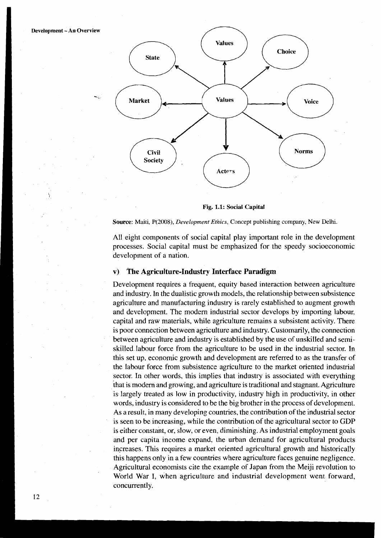

**Fig. 1.1: Social Capital** 

**Source:** Maiti, P(2008), **Development** Ethics, Concept publishing company, New Delhi.

All eight components of social capital play important role in the development processes. Social capital must be emphasized for the speedy socioeconomic development of a nation.

#### **v) The Agriculture-Industry Interface Paradigm**

Development requires a frequent, equity based interaction between agriculture and industry. In the dualistic growth models, the relationship between subsistence agriculture and manufacturing industry is rarely established to augment growth and development. The modern industrial sector develops by importing labour, capital and raw materials, while agriculture remains a subsistent activity. There is poor connection between agriculture and industry. Customarily, the connection between agriculture and industry is established by the use of unskilled and semiskilled labour force from the agriculture to be used in the industrial sector. In this set up, economic growth and development are referred to as the transfer of the labour force from subsistence agriculture to the market oriented industrial sector. In other words, this implies that industry is associated with everything that is modern and growing, and agriculture is traditional and stagnant. Agriculture is largely treated as low in productivity, industry high in productivity, in other words, industry is considered to be the big brother in the process of development. As a result, in many developing countries, the contribution of the industrial sector is seen to be increasing, while the contribution of the agricultural sector to GDP is either constant, or, slow, or even, diminishing. As industrial employment goals and per capita income expand, the urban demand for agricultural products increases. This requires a market oriented agricultural growth and historically this happens only in a few countries where agriculture faces genuine negligence. Agricultural economists cite the example of Japan from the Meiji revolution to World War I, when agriculture and industrial development went forward, concurrently.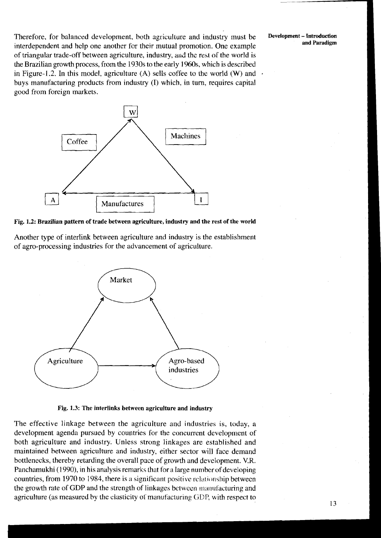Therefore, for balanced development, both agriculture and industry must be **Development-Introduction**  interdependent and help one another for their mutual promotion. One example of triangular trade-off between agriculture, industry, and thc rest of the world is the Brazilian growth process. from the 1930s to the early 1960s, which is described in Figure-1.2. In this model, agriculture (A) sells coffee to the world (W) and buys manufacturing products from industry (I) which, in turn, requires capital good from foreign markets.



**Fig. 1.2: Brazilian pattern of trade between agriculture, industry and the rest of the world** 

Another type of interlink between agriculture and industry is the establishment of agro-processing industries for the advancement of agriculture.



**Fig. 1.3: The interlinks between agriculture and industry** 

The effective linkage between the agriculture and industries is, today, a development agenda pursued by countries for the concurrent development of both agriculture and industry. Unless strong linkages are established and maintained between agriculture and industry, either sector will face demand bottlenecks, thereby retarding the overall pace of growth and development. V.R. Panchamukhi (1990), in his analysis remarks that for a large number of developing countries, from 1970 to 1984, there is a significant positive relationship between the growth rate of GDP and the strength of linkages between manufacturing and agriculture (as measured by the elasticity of manufacturing GDP, with respect to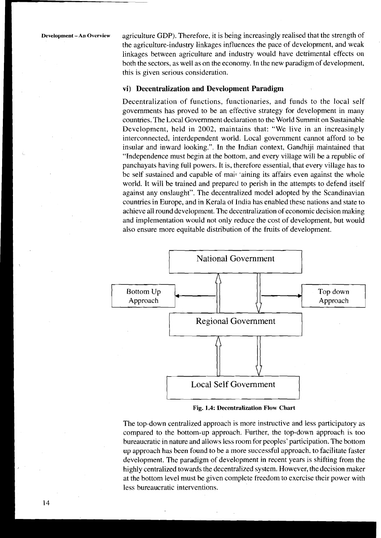**Development- An Overview** agriculture GDP). Therefore, it is being increasingly realised that the strength of the agriculture-industry linkages influences the pace of development, and weak linkages between agriculture and industry would have detrimental effects on both the sectors, as well as on the economy. In the new paradigm of development, this is given serious consideration.

#### **vi) Decentralization and Development Paradigm**

Decentralization of functions, functionaries, and funds to the local self governments has proved to be an effective strategy for development in many countries. The Local Government declaration to the World Summit on Sustainable Development, held in 2002, maintains that: "We live in an increasingly interconnected, interdependent world. Local government cannot afford to be insular and inward looking.". In the Indian context, Gandhiji maintained that "Independence must begin at the bottom, and every village will be a republic of panchayats having full powers. It is, therefore essential, that every village has to be self sustained and capable of mair 'aining its affairs even against the whole world. It will be trained and prepared to perish in the attempts to defend itself against any onslaught". The decentralized model adopted by the Scandinavian countries in Europe, and in Kerala of India has enabled these nations and state to achieve all round development. The decentralization of economic decision making and implementation would not only reduce the cost of development, but would also ensure more equitable distribution of the fruits of development.



**Fig.** *1.4: Decentralization Flow Chart* 

The top-down centralized approach is more instructive and less participatory as compared to the bottom-up approach. Further, the top-down approach is too bureaucratic in nature and allows less room for peoples' participation. The bottom up approach has been found to be a more successful approach, to facilitate faster development. The paradigm of development in recent years is shifting from the highly centralized towards the decentralized system. However, the decision maker at the bottom level must be given complete freedom to exercise their power with less bureaucratic interventions.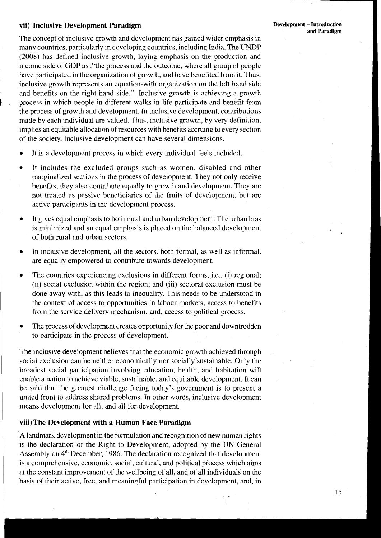#### vii) Inclusive Development Paradigm

The concept of inclusive growth and development has gained wider emphasis in many countries, particularly in developing countries, including India. The UNDP (2008) has defined inclusive growth, laying emphasis on the production and income side of GDP as :"the process and the outcome, where all group of people have participated in the organization of growth, and have benefited from it. Thus, inclusive growth represents an equation-with organization on the left hand side and benefits on the right hand side.". Inclusive growth is achieving a growth ) process in which people in different walks in life participate and benefit from

the process of growth and development. In inclusive development, contributions made by each individual are valued. Thus, inclusive growth, by very definition, implies an equitable allocation of resources with benefits accruing to every section of the society. Inclusive development can have several dimensions.

- It is a development process in which every individual feels included.
- It includes the excluded groups such as women, disabled and other marginalized sections in the process of development. They not only receive benefits, they also contribute equally to growth and development. They are not treated as passive beneficiaries of the fruits of development, but are active participants in the development process.
- It gives equal emphasis to both rural and urban development. The urban bias is minimized and an equal emphasis is placed on the balanced development of both rural and urban sectors.
- In inclusive development, all the sectors, both formal, as well as informal, are equally empowered to contribute towards development.
- The countries experiencing exclusions in different forms, i.e., (i) regional; (ii) social exclusion within the region; and (iii) sectoral exclusion must be done away with, as this leads to inequality. This needs to be understood in the context of access to opportunities in labour markets, access to benefits from the service delivery mechanism, and, access to political process.
- The process of development creates opportunity for the poor and downtrodden to participate in the process of development.

The inclusive development believes that the economic growth achieved through social exclusion can be neither economically nor socially sustainable. Only the broadest social participation involving education, health, and habitation will enable a nation to achieve viable, sustainable, and equitable development. It can be said that the greatest challenge facing today's government is to present a united front to address shared problems. In other words, inclusive development means development for all, and all for development.

### viii) The Development with a Human Face Paradigm

A landmark development in the formulation and recognition of new human rights is the declaration of the Right to Development, adopted by the UN General Assembly on 4" December, 1986. The declaration recognized that development is a comprehensive, economic, social, cultural, and political process which aims at the constant improvement of the wellbeing of all, and of all individuals on the basis of their active, free, and meaningful participation in development, and, in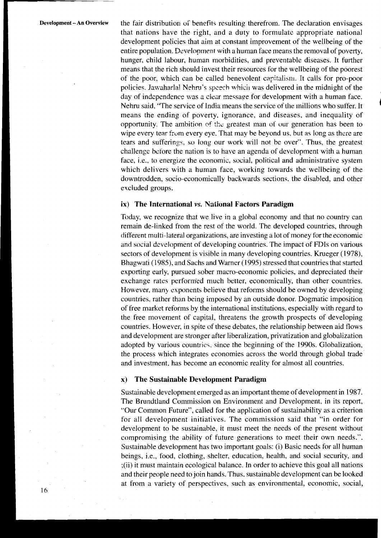**Development - An Overview** the fair distribution of benefits resulting therefrom. The declaration envisages that nations have the right, and a duty to formulaic appropriate national development policies that aim at constant improvement of the wellbeing of the entire population. Development with a human face means the removal of poverty, hunger, child labour, human morbidities, and preventable diseases. It further means that the rich should invest their resources for the wellbeing of the poorest of the poor, which can be called benevolent capifalisin. It calls for pro-poor policies. Jawaharlal Nehru's speech whicil was delivered in the midnight of the day of independence was a clear message for development with a human face. Nehru said, "The service of India means the service of the millions who suffer. It means the ending of poverty, ignorance, and diseases, and inequality of opportunity. The ambition of the greatest man of our generation has been to wipe every tear from every eye. That may be beyond us, but as long as there are tears and sufferings, so long our work will not be over". Thus, the greatest challenge betore the nation is to have an agenda of development with a human face, *i.e.*, to energize the economic, social, political and administrative system which delivers with a human face, working towards the wellbeing of the downtrodden, socjo-economically backwards sections. the disabled, and other excluded groups.

#### ix) The International **vs.** National Factors Paradigm

Today, we recognize that we live in a global economy and that no country can remain de-linked from the rest of the world. The developed countries, through different multi-lateral organizations, are investing a lot of money for the economic and social development of developing countries. The impact of FDIs on various sectors of development is visible in many developing countries. Krueger (1978), Bhagwati (1985), and Sachs and Warner (1995) stressed that countries that started exporting early, pursued sober macro-economic policies, and depreciated their exchange rates performed much better, economically, than other countries. However, many exponents believe that reforms should be owned by developing countries, rather than being imposed by an outside donor. Dogmatic imposition of free market reforms by the international institutions, especially with regard to the free movement of capital, threatens the growth prospects of developing countries. However, in spite of these debates, the relationship between aid flows and development are stronger after liberalization, privatization and globalization adopted by various countries, since the beginning of the 1990s. Globalization, the process which integrates economies across the world through global trade and investment, has become an economic reality for almost all countries.

#### x) The Sustainable Development Paradigm

Sustainable development emerged as an important theme of development in 1987. The Brundtland Commission on Environment and Development, in its report, "Our Common Future", called for the application of sustainability as a criterion for all development initiatives. The commission said that "in order for development to be sustainable, it must meet the needs of the present without compromising the ability of future generations to meet their own needs.". Sustainable development has two important goals: (i) Basic needs for all human beings, i.e., food, clothing, shelter, education, health, and social security, and ;(ii) it must maintain ecological balance. In order to achieve this goal all nations and their people need to join hands. Thus. sustainable development can be looked at from a variety of perspectives, such as environmental, economic, social,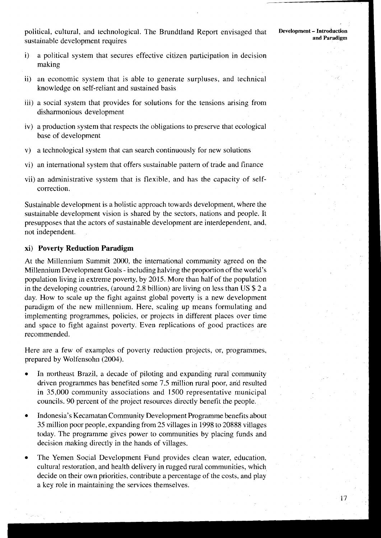political, cultural, and technological. The Brundtland Report envisaged that sustainable development requires

- i) a political system that secures effective citizen participation in decision making
- ii) an economic system that is able to generate surpluses, and technical knowledge on self-reliant and sustained basis
- iii) a social system that provides for solutions for the tensions arising from disharmonious development
- iv) a production system that respects the obligations to preserve that ecological base of development
- v) a technological system that can search continuously for new solutions
- vi) an international system that offers sustainable pattern of trade and finance
- vii) an administrative system that is flexible, and has the capacity of selfcorrection.

Sustainable development is a holistic approach towards development, where the sustainable development vision is shared by the sectors, nations and people. It presupposes that the actors of sustainable development are interdependent, and, not independent.

#### **xi) Poverty Reduction Paradigm**

At the Millennium Summit 2000, the international community agreed on the Millennium Development Goals - including halving the proportion of the world's population living in extreme poverty, by 2015. More than half of the population in the developing countries, (around 2.8 billion) are living on less than US \$2 a day. How to scale up the fight against global poverty is a new development paradigm of the new millennium. Here, scaling up means formulating and implementing programmes, policies, or projects in different places over time and space to fight against poverty. Even replications of good practices are recommended.

Here are a few of examples of poverty reduction projects, or, programmes, prepared by Wolfensohn (2004).

- In northeast Brazil, a decade of piloting and expanding rural community driven programmes has benefited some 7.5 million rural poor, and resulted in 35,000 community associations and 1500 representative municipal councils. 90 percent of the project resources directly benefit the people.
- Indonesia's Kecamatan Community Development Programme benefits about 35 million poor people, expanding from 25 villages in 1998 to 20888 villages today. The programme gives power to communities by placing funds and decision making directly in the hands of villages.
- The Yemen Social Development Fund provides clean water, education, cultural restoration, and health delivery in rugged rural communities, which decide on their own priorities, contribute a percentage of the costs, and play a key role in maintaining the services themselves.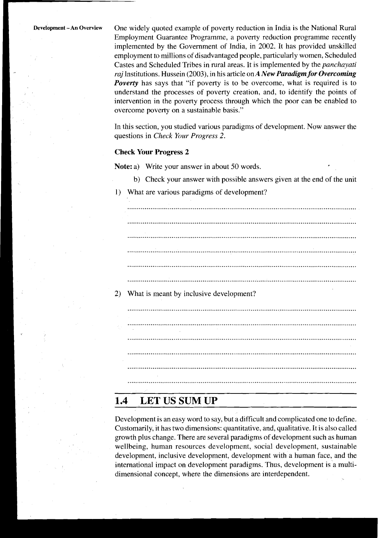**Development - An Overview** One widely quoted example of poverty reduction in India is the National Rural Employment Guarantee Programme, a poverty reduction programme recently implemented by the Government of India, in 2002. It has provided unskilled employment to millions of disadvantaged people, particularly women, Scheduled Castes and Scheduled Tribes in rural areas. It is implemented by the *panchayati raj* Institutions. Hussein (2003), in his article on *A New Paradigm for Overcoming Poverty* has says that "if poverty is to be overcome, what is required is to understand the processes of poverty creation, and, to identify the points of intervention in the poverty process through which the poor can be enabled to overcome poverty on a sustainable basis."

> In this section, you studied various paradigms of development. Now answer the questions in *Check Your Progress 2.*

#### **Check Your Progress 2**

**Note:** a) Write your answer in about 50 words.

- b) Check your answer with possible answers given at the end of the unit
- 1) What are various paradigms of development?

....................................................................................................................... 2) What is meant by inclusive development? 

#### 1.4 **LET US SUM UP**

Development is an easy word to say, but a difficult and complicated one to define. Customarily, it has two dimensions: quantitative. and, qualitative. It is also called growth plus change. There are several paradigms of development such as human wellbeing, human resources development, social development, sustainable development, inclusive development, development with a human face, and the international impact on development paradigms. Thus, development is a multidimensional concept, where the dimensions are interdependent.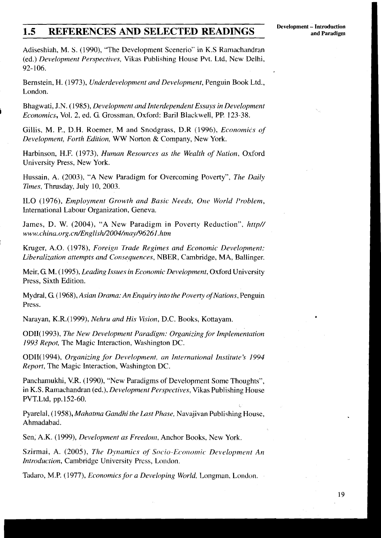# **1.5 REFERENCES AND SELECTED READINGS** Development - Introduction **and Paradigm**

Adiseshiah, M. S. (1990), "The Development Scenerio" in K.S Ramachandran (ed.) Development Perspectives, Vikas Publishing House Pvt. Ltd, New Delhi, 92- 106.

Bernstein, H. (1973), Underdevelopment and Development, Penguin Book Ltd., London.

Bhagwati, J.N. (1985), Development and Interdependent Essuys in Development **i** Economics, Vol. 2, ed. G. Grossman, Oxford: Baril Blackwell, PP. 123-38.

Gillis, M. P., D.H. Roemer, M and Snodgrass, D.R (1996), Economics of Development, Forth Edition, WW Norton & Company, New York.

Harbinson, H.F. (1973), Human Resources as the Wealth of Nation, Oxford University Press, New York.

Hussain, A. (2003), "A New Paradigm for Overcoming Poverty", The Daily Times, Thrusday, July 10, 2003.

ILO (1976), Employment Growth and Basic Needs, *One* World I'roblern, International Labour Organization, Geneva.

James, D. W. (2004), "A New Paradigm in Poverty Reduction", http// www.chinu. **org.cn/EnglisW2004/may/96261.** htm

Kruger, A.O. (1978), Foreigil Trade Regimes and Economic Development: Liberalization attempts and Consequences, NBER, Cambridge, MA, Ballinger.

Meir, G. M. (1995), Leading Issues in Economic Development, Oxford University Press, Sixth Edition.

Mydral, *G.* (1968), Asian Drama: An Enquiry into the Poverty of Nations, Penguin Press.

Narayan, K.R.(1999), Nehru and His Vision, D.C. Books, Kottayam.

ODII(1993), The New Development Paradigm: Organizing for Implementation 1993 Repot, The Magic Interaction, Washington DC.

ODII(1994), Organizing for Development, an Internutional Institute's 1994 Report, The Magic Interaction, Washington DC.

Panchamukhi, V.R. (1990), "New Paradigms of Development Some Thoughts", in K.S. Ramachandran (ed.), Development Perspectives, Vikas Publishing House PVT.Ltd, pp. 152-60.

Pyarelal, (1958), *Mahatma Gandhi the Last Phase*, Navajivan Publishing House, Ahmadabad.

Sen, A.K. (1999), Development as Freedom, Anchor Books, New York.

Szirmai, A. (2005), The Dynamics of Socio-Economic Development An Introduction, Cambridge University Press, London.

Tadaro, M.P. (1977), *Economics for a Developing World*, Longman, London.